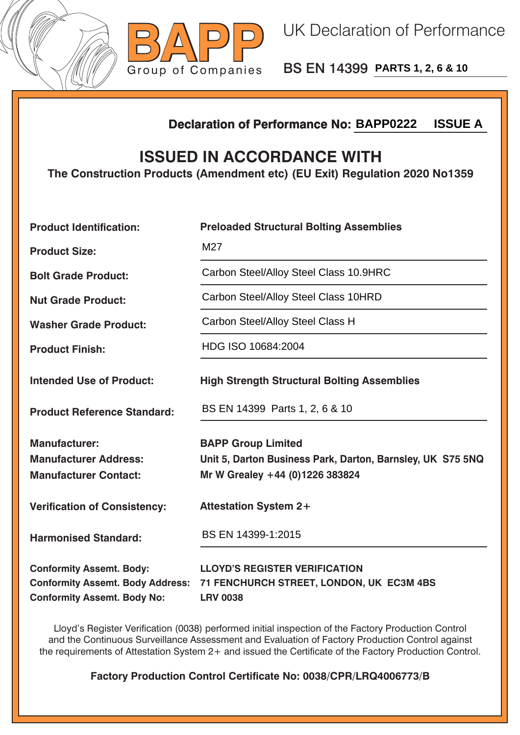



BS EN 14399 **PARTS 1, 2, 6 & 10**

## **Declaration of Performance No:**

## **ISSUED IN ACCORDANCE WITH**

|                                                                                                                  | <b>ISSUE A</b><br><b>Declaration of Performance No: BAPP0222</b>                                                           |  |  |
|------------------------------------------------------------------------------------------------------------------|----------------------------------------------------------------------------------------------------------------------------|--|--|
| <b>ISSUED IN ACCORDANCE WITH</b><br>The Construction Products (Amendment etc) (EU Exit) Regulation 2020 No1359   |                                                                                                                            |  |  |
| <b>Product Identification:</b>                                                                                   | <b>Preloaded Structural Bolting Assemblies</b>                                                                             |  |  |
| <b>Product Size:</b>                                                                                             | M27                                                                                                                        |  |  |
| <b>Bolt Grade Product:</b>                                                                                       | Carbon Steel/Alloy Steel Class 10.9HRC                                                                                     |  |  |
| <b>Nut Grade Product:</b>                                                                                        | Carbon Steel/Alloy Steel Class 10HRD                                                                                       |  |  |
| <b>Washer Grade Product:</b>                                                                                     | Carbon Steel/Alloy Steel Class H                                                                                           |  |  |
| <b>Product Finish:</b>                                                                                           | HDG ISO 10684:2004                                                                                                         |  |  |
| <b>Intended Use of Product:</b>                                                                                  | <b>High Strength Structural Bolting Assemblies</b>                                                                         |  |  |
| <b>Product Reference Standard:</b>                                                                               | BS EN 14399 Parts 1, 2, 6 & 10                                                                                             |  |  |
| <b>Manufacturer:</b><br><b>Manufacturer Address:</b><br><b>Manufacturer Contact:</b>                             | <b>BAPP Group Limited</b><br>Unit 5, Darton Business Park, Darton, Barnsley, UK S75 5NQ<br>Mr W Grealey +44 (0)1226 383824 |  |  |
| <b>Verification of Consistency:</b>                                                                              | <b>Attestation System 2+</b>                                                                                               |  |  |
| <b>Harmonised Standard:</b>                                                                                      | BS EN 14399-1:2015                                                                                                         |  |  |
| <b>Conformity Assemt. Body:</b><br><b>Conformity Assemt. Body Address:</b><br><b>Conformity Assemt. Body No:</b> | <b>LLOYD'S REGISTER VERIFICATION</b><br>71 FENCHURCH STREET, LONDON, UK EC3M 4BS<br><b>LRV 0038</b>                        |  |  |

Lloyd's Register Verification (0038) performed initial inspection of the Factory Production Control and the Continuous Surveillance Assessment and Evaluation of Factory Production Control against the requirements of Attestation System 2+ and issued the Certificate of the Factory Production Control.

**Factory Production Control Certificate No: 0038/CPR/LRQ4006773/B**